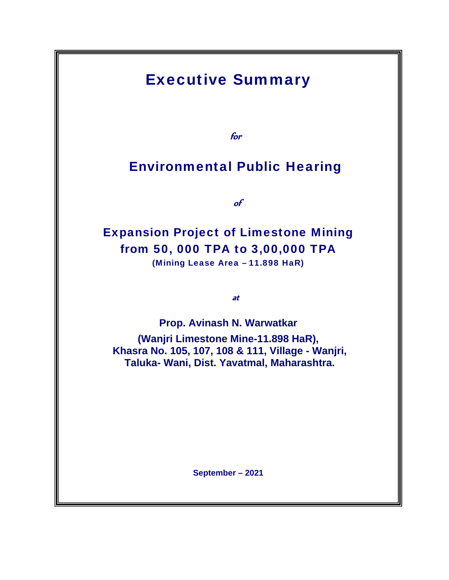## Executive Summary

for

## Environmental Public Hearing

of

### Expansion Project of Limestone Mining from 50, 000 TPA to 3,00,000 TPA (Mining Lease Area – 11.898 HaR)

at

**Prop. Avinash N. Warwatkar** 

**(Wanjri Limestone Mine-11.898 HaR), Khasra No. 105, 107, 108 & 111, Village - Wanjri, Taluka- Wani, Dist. Yavatmal, Maharashtra.** 

**September – 2021**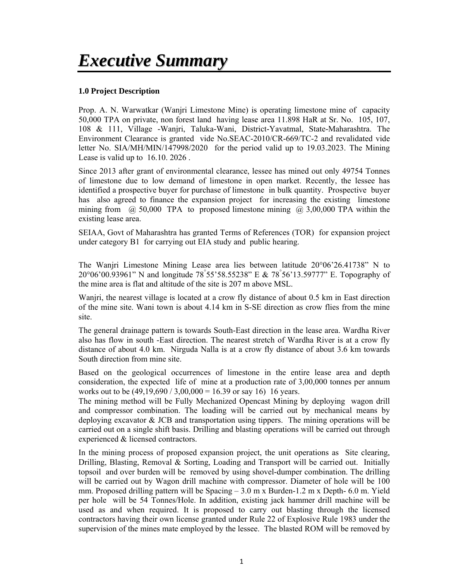# *Executive Summary*

#### **1.0 Project Description**

Prop. A. N. Warwatkar (Wanjri Limestone Mine) is operating limestone mine of capacity 50,000 TPA on private, non forest land having lease area 11.898 HaR at Sr. No. 105, 107, 108 & 111, Village -Wanjri, Taluka-Wani, District-Yavatmal, State-Maharashtra. The Environment Clearance is granted vide No.SEAC-2010/CR-669/TC-2 and revalidated vide letter No. SIA/MH/MIN/147998/2020 for the period valid up to 19.03.2023. The Mining Lease is valid up to 16.10. 2026 .

Since 2013 after grant of environmental clearance, lessee has mined out only 49754 Tonnes of limestone due to low demand of limestone in open market. Recently, the lessee has identified a prospective buyer for purchase of limestone in bulk quantity. Prospective buyer has also agreed to finance the expansion project for increasing the existing limestone mining from  $\omega$  50,000 TPA to proposed limestone mining  $\omega$  3,00,000 TPA within the existing lease area.

SEIAA, Govt of Maharashtra has granted Terms of References (TOR) for expansion project under category B1 for carrying out EIA study and public hearing.

The Wanjri Limestone Mining Lease area lies between latitude 20°06'26.41738" N to 20°06'00.93961" N and longitude 78° 55'58.55238" E & 78° 56'13.59777" E. Topography of the mine area is flat and altitude of the site is 207 m above MSL.

Wanjri, the nearest village is located at a crow fly distance of about 0.5 km in East direction of the mine site. Wani town is about 4.14 km in S-SE direction as crow flies from the mine site.

The general drainage pattern is towards South-East direction in the lease area. Wardha River also has flow in south -East direction. The nearest stretch of Wardha River is at a crow fly distance of about 4.0 km. Nirguda Nalla is at a crow fly distance of about 3.6 km towards South direction from mine site.

Based on the geological occurrences of limestone in the entire lease area and depth consideration, the expected life of mine at a production rate of 3,00,000 tonnes per annum works out to be  $(49,19,690 / 3,00,000 = 16.39$  or say 16) 16 years.

The mining method will be Fully Mechanized Opencast Mining by deploying wagon drill and compressor combination. The loading will be carried out by mechanical means by deploying excavator  $\&$  JCB and transportation using tippers. The mining operations will be carried out on a single shift basis. Drilling and blasting operations will be carried out through experienced & licensed contractors.

In the mining process of proposed expansion project, the unit operations as Site clearing, Drilling, Blasting, Removal  $\&$  Sorting, Loading and Transport will be carried out. Initially topsoil and over burden will be removed by using shovel-dumper combination. The drilling will be carried out by Wagon drill machine with compressor. Diameter of hole will be 100 mm. Proposed drilling pattern will be Spacing – 3.0 m x Burden-1.2 m x Depth- 6.0 m. Yield per hole will be 54 Tonnes/Hole. In addition, existing jack hammer drill machine will be used as and when required. It is proposed to carry out blasting through the licensed contractors having their own license granted under Rule 22 of Explosive Rule 1983 under the supervision of the mines mate employed by the lessee. The blasted ROM will be removed by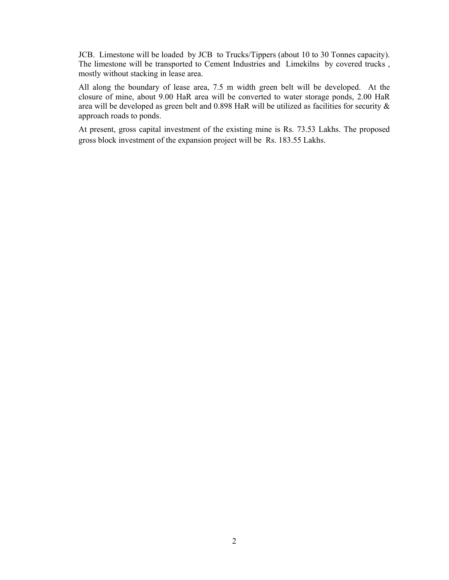JCB. Limestone will be loaded by JCB to Trucks/Tippers (about 10 to 30 Tonnes capacity). The limestone will be transported to Cement Industries and Limekilns by covered trucks , mostly without stacking in lease area.

All along the boundary of lease area, 7.5 m width green belt will be developed. At the closure of mine, about 9.00 HaR area will be converted to water storage ponds, 2.00 HaR area will be developed as green belt and 0.898 HaR will be utilized as facilities for security & approach roads to ponds.

At present, gross capital investment of the existing mine is Rs. 73.53 Lakhs. The proposed gross block investment of the expansion project will be Rs. 183.55 Lakhs.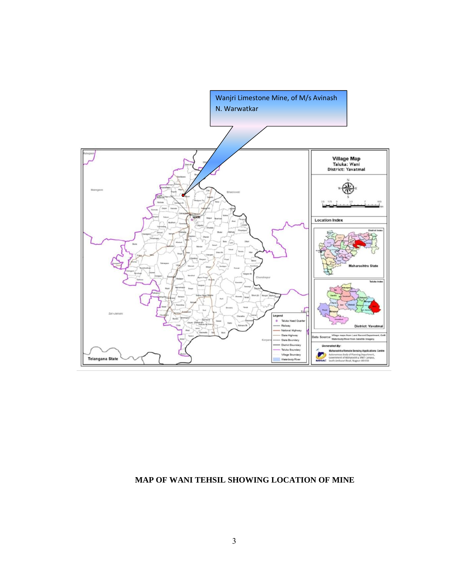

#### **MAP OF WANI TEHSIL SHOWING LOCATION OF MINE**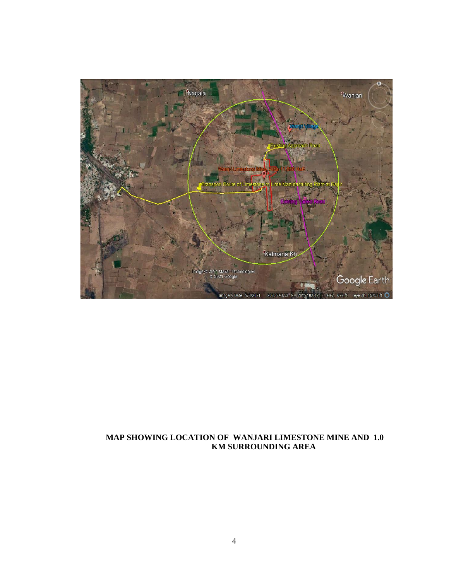

#### **MAP SHOWING LOCATION OF WANJARI LIMESTONE MINE AND 1.0 KM SURROUNDING AREA**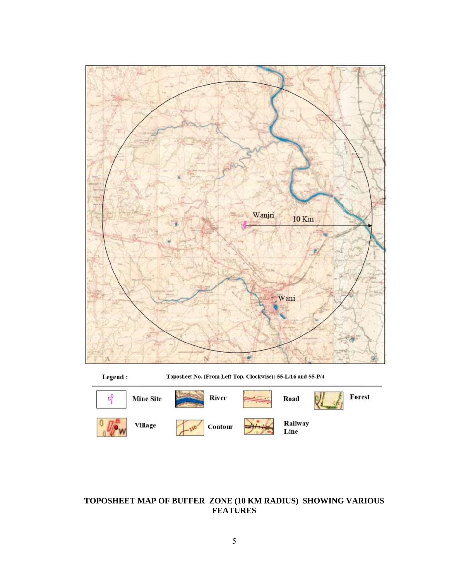

#### **TOPOSHEET MAP OF BUFFER ZONE (10 KM RADIUS) SHOWING VARIOUS FEATURES**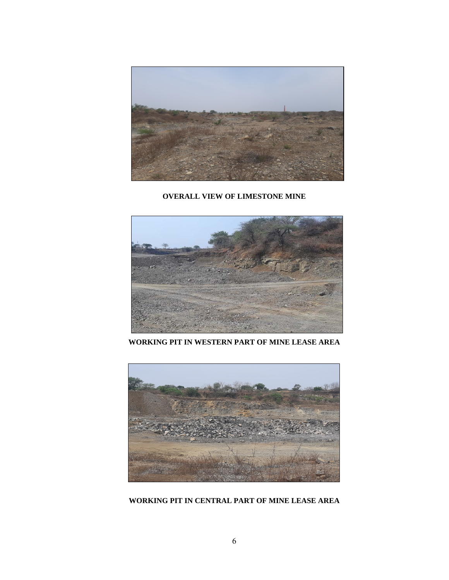

**OVERALL VIEW OF LIMESTONE MINE** 



**WORKING PIT IN WESTERN PART OF MINE LEASE AREA** 



**WORKING PIT IN CENTRAL PART OF MINE LEASE AREA**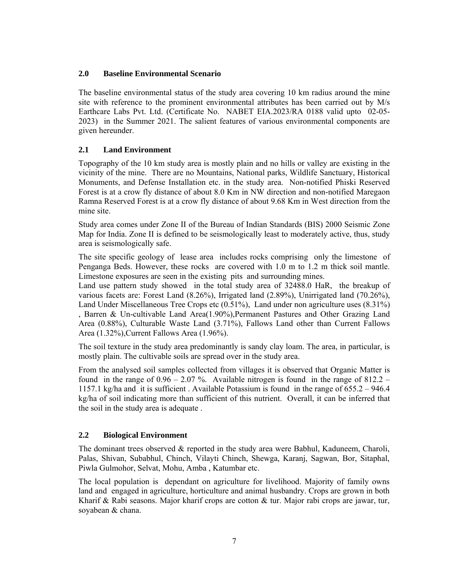#### **2.0 Baseline Environmental Scenario**

The baseline environmental status of the study area covering 10 km radius around the mine site with reference to the prominent environmental attributes has been carried out by M/s Earthcare Labs Pvt. Ltd. (Certificate No. NABET EIA.2023/RA 0188 valid upto 02-05- 2023) in the Summer 2021. The salient features of various environmental components are given hereunder.

#### **2.1 Land Environment**

Topography of the 10 km study area is mostly plain and no hills or valley are existing in the vicinity of the mine. There are no Mountains, National parks, Wildlife Sanctuary, Historical Monuments, and Defense Installation etc. in the study area. Non-notified Phiski Reserved Forest is at a crow fly distance of about 8.0 Km in NW direction and non-notified Maregaon Ramna Reserved Forest is at a crow fly distance of about 9.68 Km in West direction from the mine site.

Study area comes under Zone II of the Bureau of Indian Standards (BIS) 2000 Seismic Zone Map for India. Zone II is defined to be seismologically least to moderately active, thus, study area is seismologically safe.

The site specific geology of lease area includes rocks comprising only the limestone of Penganga Beds. However, these rocks are covered with 1.0 m to 1.2 m thick soil mantle. Limestone exposures are seen in the existing pits and surrounding mines.

Land use pattern study showed in the total study area of 32488.0 HaR, the breakup of various facets are: Forest Land (8.26%), Irrigated land (2.89%), Unirrigated land (70.26%), Land Under Miscellaneous Tree Crops etc  $(0.51\%)$ , Land under non agriculture uses  $(8.31\%)$ , Barren & Un-cultivable Land Area(1.90%),Permanent Pastures and Other Grazing Land Area (0.88%), Culturable Waste Land (3.71%), Fallows Land other than Current Fallows Area (1.32%),Current Fallows Area (1.96%).

The soil texture in the study area predominantly is sandy clay loam. The area, in particular, is mostly plain. The cultivable soils are spread over in the study area.

From the analysed soil samples collected from villages it is observed that Organic Matter is found in the range of  $0.96 - 2.07$ %. Available nitrogen is found in the range of  $812.2 -$ 1157.1 kg/ha and it is sufficient . Available Potassium is found in the range of 655.2 – 946.4 kg/ha of soil indicating more than sufficient of this nutrient. Overall, it can be inferred that the soil in the study area is adequate .

#### **2.2 Biological Environment**

The dominant trees observed & reported in the study area were Babhul, Kaduneem, Charoli, Palas, Shivan, Subabhul, Chinch, Vilayti Chinch, Shewga, Karanj, Sagwan, Bor, Sitaphal, Piwla Gulmohor, Selvat, Mohu, Amba , Katumbar etc.

The local population is dependant on agriculture for livelihood. Majority of family owns land and engaged in agriculture, horticulture and animal husbandry. Crops are grown in both Kharif & Rabi seasons. Major kharif crops are cotton & tur. Major rabi crops are jawar, tur, soyabean & chana.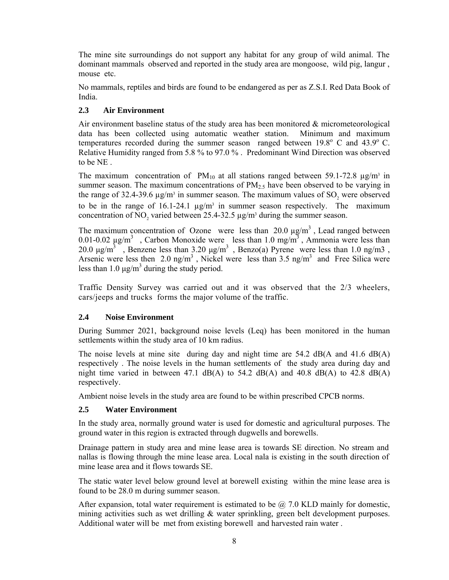The mine site surroundings do not support any habitat for any group of wild animal. The dominant mammals observed and reported in the study area are mongoose, wild pig, langur , mouse etc.

No mammals, reptiles and birds are found to be endangered as per as Z.S.I. Red Data Book of India.

#### **2.3 Air Environment**

Air environment baseline status of the study area has been monitored & micrometeorological data has been collected using automatic weather station. Minimum and maximum temperatures recorded during the summer season ranged between  $19.8^{\circ}$  C and  $43.9^{\circ}$  C. Relative Humidity ranged from 5.8 % to 97.0 % . Predominant Wind Direction was observed to be NE .

The maximum concentration of  $PM_{10}$  at all stations ranged between 59.1-72.8  $\mu$ g/m<sup>3</sup> in summer season. The maximum concentrations of  $PM<sub>2.5</sub>$  have been observed to be varying in the range of 32.4-39.6  $\mu$ g/m<sup>3</sup> in summer season. The maximum values of SO<sub>2</sub> were observed to be in the range of  $16.1-24.1 \mu g/m^3$  in summer season respectively. The maximum concentration of NO<sub>2</sub> varied between 25.4-32.5  $\mu$ g/m<sup>3</sup> during the summer season.

The maximum concentration of Ozone were less than  $20.0 \,\mu g/m^3$ , Lead ranged between 0.01-0.02  $\mu$ g/m<sup>3</sup>, Carbon Monoxide were less than 1.0 mg/m<sup>3</sup>, Ammonia were less than 20.0 μg/m<sup>3</sup>, Benzene less than 3.20 μg/m<sup>3</sup>, Benzo(a) Pyrene were less than 1.0 ng/m3, Arsenic were less then  $2.0 \text{ ng/m}^3$ , Nickel were less than  $3.5 \text{ ng/m}^3$  and Free Silica were less than  $1.0 \mu g/m^3$  during the study period.

Traffic Density Survey was carried out and it was observed that the 2/3 wheelers, cars/jeeps and trucks forms the major volume of the traffic.

#### **2.4 Noise Environment**

During Summer 2021, background noise levels (Leq) has been monitored in the human settlements within the study area of 10 km radius.

The noise levels at mine site during day and night time are 54.2 dB(A and 41.6 dB(A) respectively . The noise levels in the human settlements of the study area during day and night time varied in between 47.1 dB(A) to 54.2 dB(A) and 40.8 dB(A) to 42.8 dB(A) respectively.

Ambient noise levels in the study area are found to be within prescribed CPCB norms.

#### **2.5 Water Environment**

In the study area, normally ground water is used for domestic and agricultural purposes. The ground water in this region is extracted through dugwells and borewells.

Drainage pattern in study area and mine lease area is towards SE direction. No stream and nallas is flowing through the mine lease area. Local nala is existing in the south direction of mine lease area and it flows towards SE.

The static water level below ground level at borewell existing within the mine lease area is found to be 28.0 m during summer season.

After expansion, total water requirement is estimated to be  $\omega$  7.0 KLD mainly for domestic, mining activities such as wet drilling & water sprinkling, green belt development purposes. Additional water will be met from existing borewell and harvested rain water .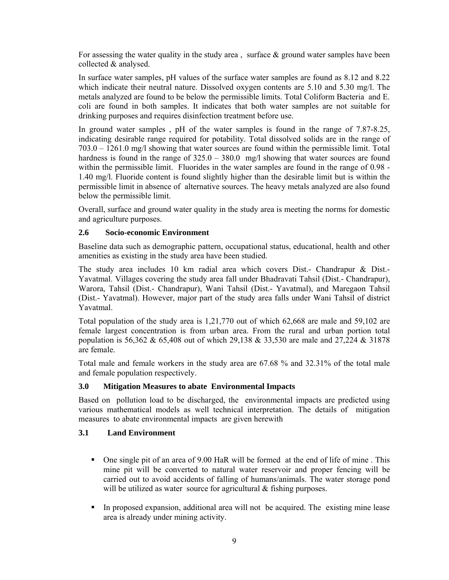For assessing the water quality in the study area, surface  $\&$  ground water samples have been collected & analysed.

In surface water samples, pH values of the surface water samples are found as 8.12 and 8.22 which indicate their neutral nature. Dissolved oxygen contents are 5.10 and 5.30 mg/l. The metals analyzed are found to be below the permissible limits. Total Coliform Bacteria and E. coli are found in both samples. It indicates that both water samples are not suitable for drinking purposes and requires disinfection treatment before use.

In ground water samples , pH of the water samples is found in the range of 7.87-8.25, indicating desirable range required for potability. Total dissolved solids are in the range of 703.0 – 1261.0 mg/l showing that water sources are found within the permissible limit. Total hardness is found in the range of  $325.0 - 380.0$  mg/l showing that water sources are found within the permissible limit. Fluorides in the water samples are found in the range of 0.98 -1.40 mg/l. Fluoride content is found slightly higher than the desirable limit but is within the permissible limit in absence of alternative sources. The heavy metals analyzed are also found below the permissible limit.

Overall, surface and ground water quality in the study area is meeting the norms for domestic and agriculture purposes.

#### **2.6 Socio-economic Environment**

Baseline data such as demographic pattern, occupational status, educational, health and other amenities as existing in the study area have been studied.

The study area includes 10 km radial area which covers Dist.- Chandrapur & Dist.- Yavatmal. Villages covering the study area fall under Bhadravati Tahsil (Dist.- Chandrapur), Warora, Tahsil (Dist.- Chandrapur), Wani Tahsil (Dist.- Yavatmal), and Maregaon Tahsil (Dist.- Yavatmal). However, major part of the study area falls under Wani Tahsil of district Yavatmal.

Total population of the study area is 1,21,770 out of which 62,668 are male and 59,102 are female largest concentration is from urban area. From the rural and urban portion total population is 56,362 & 65,408 out of which 29,138 & 33,530 are male and 27,224 & 31878 are female.

Total male and female workers in the study area are 67.68 % and 32.31% of the total male and female population respectively.

#### **3.0 Mitigation Measures to abate Environmental Impacts**

Based on pollution load to be discharged, the environmental impacts are predicted using various mathematical models as well technical interpretation. The details of mitigation measures to abate environmental impacts are given herewith

#### **3.1 Land Environment**

- One single pit of an area of 9.00 HaR will be formed at the end of life of mine . This mine pit will be converted to natural water reservoir and proper fencing will be carried out to avoid accidents of falling of humans/animals. The water storage pond will be utilized as water source for agricultural  $\&$  fishing purposes.
- In proposed expansion, additional area will not be acquired. The existing mine lease area is already under mining activity.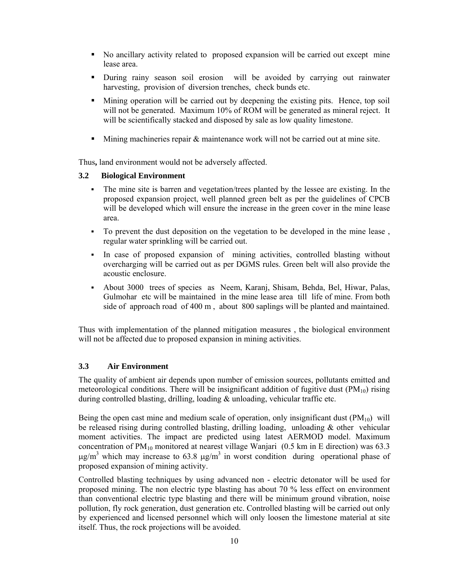- No ancillary activity related to proposed expansion will be carried out except mine lease area.
- During rainy season soil erosion will be avoided by carrying out rainwater harvesting, provision of diversion trenches, check bunds etc.
- Mining operation will be carried out by deepening the existing pits. Hence, top soil will not be generated. Maximum 10% of ROM will be generated as mineral reject. It will be scientifically stacked and disposed by sale as low quality limestone.
- $\blacksquare$  Mining machineries repair & maintenance work will not be carried out at mine site.

Thus**,** land environment would not be adversely affected.

#### **3.2 Biological Environment**

- The mine site is barren and vegetation/trees planted by the lessee are existing. In the proposed expansion project, well planned green belt as per the guidelines of CPCB will be developed which will ensure the increase in the green cover in the mine lease area.
- To prevent the dust deposition on the vegetation to be developed in the mine lease , regular water sprinkling will be carried out.
- In case of proposed expansion of mining activities, controlled blasting without overcharging will be carried out as per DGMS rules. Green belt will also provide the acoustic enclosure.
- About 3000 trees of species as Neem, Karanj, Shisam, Behda, Bel, Hiwar, Palas, Gulmohar etc will be maintained in the mine lease area till life of mine. From both side of approach road of 400 m , about 800 saplings will be planted and maintained.

Thus with implementation of the planned mitigation measures , the biological environment will not be affected due to proposed expansion in mining activities.

#### **3.3 Air Environment**

The quality of ambient air depends upon number of emission sources, pollutants emitted and meteorological conditions. There will be insignificant addition of fugitive dust  $(PM_{10})$  rising during controlled blasting, drilling, loading & unloading, vehicular traffic etc.

Being the open cast mine and medium scale of operation, only insignificant dust  $(PM_{10})$  will be released rising during controlled blasting, drilling loading, unloading & other vehicular moment activities. The impact are predicted using latest AERMOD model. Maximum concentration of  $PM_{10}$  monitored at nearest village Wanjari (0.5 km in E direction) was 63.3  $\mu$ g/m<sup>3</sup> which may increase to 63.8  $\mu$ g/m<sup>3</sup> in worst condition during operational phase of proposed expansion of mining activity.

Controlled blasting techniques by using advanced non - electric detonator will be used for proposed mining. The non electric type blasting has about 70 % less effect on environment than conventional electric type blasting and there will be minimum ground vibration, noise pollution, fly rock generation, dust generation etc. Controlled blasting will be carried out only by experienced and licensed personnel which will only loosen the limestone material at site itself. Thus, the rock projections will be avoided.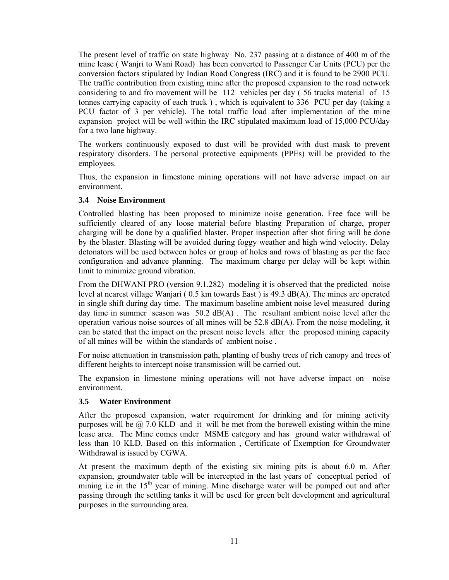The present level of traffic on state highway No. 237 passing at a distance of 400 m of the mine lease ( Wanjri to Wani Road) has been converted to Passenger Car Units (PCU) per the conversion factors stipulated by Indian Road Congress (IRC) and it is found to be 2900 PCU. The traffic contribution from existing mine after the proposed expansion to the road network considering to and fro movement will be 112 vehicles per day ( 56 trucks material of 15 tonnes carrying capacity of each truck ) , which is equivalent to 336 PCU per day (taking a PCU factor of 3 per vehicle). The total traffic load after implementation of the mine expansion project will be well within the IRC stipulated maximum load of 15,000 PCU/day for a two lane highway.

The workers continuously exposed to dust will be provided with dust mask to prevent respiratory disorders. The personal protective equipments (PPEs) will be provided to the employees.

Thus, the expansion in limestone mining operations will not have adverse impact on air environment.

#### **3.4 Noise Environment**

Controlled blasting has been proposed to minimize noise generation. Free face will be sufficiently cleared of any loose material before blasting Preparation of charge, proper charging will be done by a qualified blaster. Proper inspection after shot firing will be done by the blaster. Blasting will be avoided during foggy weather and high wind velocity. Delay detonators will be used between holes or group of holes and rows of blasting as per the face configuration and advance planning. The maximum charge per delay will be kept within limit to minimize ground vibration.

From the DHWANI PRO (version 9.1.282) modeling it is observed that the predicted noise level at nearest village Wanjari ( 0.5 km towards East ) is 49.3 dB(A). The mines are operated in single shift during day time. The maximum baseline ambient noise level measured during day time in summer season was  $50.2$  dB(A). The resultant ambient noise level after the operation various noise sources of all mines will be  $52.8 \text{ dB}(A)$ . From the noise modeling, it can be stated that the impact on the present noise levels after the proposed mining capacity of all mines will be within the standards of ambient noise .

For noise attenuation in transmission path, planting of bushy trees of rich canopy and trees of different heights to intercept noise transmission will be carried out.

The expansion in limestone mining operations will not have adverse impact on noise environment.

#### **3.5 Water Environment**

After the proposed expansion, water requirement for drinking and for mining activity purposes will be  $\omega$  7.0 KLD and it will be met from the borewell existing within the mine lease area. The Mine comes under MSME category and has ground water withdrawal of less than 10 KLD. Based on this information , Certificate of Exemption for Groundwater Withdrawal is issued by CGWA.

At present the maximum depth of the existing six mining pits is about 6.0 m. After expansion, groundwater table will be intercepted in the last years of conceptual period of mining i.e in the  $15<sup>th</sup>$  year of mining. Mine discharge water will be pumped out and after passing through the settling tanks it will be used for green belt development and agricultural purposes in the surrounding area.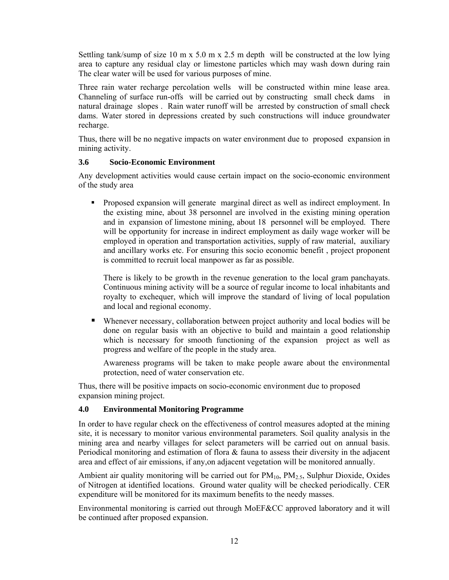Settling tank/sump of size 10 m x 5.0 m x 2.5 m depth will be constructed at the low lying area to capture any residual clay or limestone particles which may wash down during rain The clear water will be used for various purposes of mine.

Three rain water recharge percolation wells will be constructed within mine lease area. Channeling of surface run-offs will be carried out by constructing small check dams in natural drainage slopes . Rain water runoff will be arrested by construction of small check dams. Water stored in depressions created by such constructions will induce groundwater recharge.

Thus, there will be no negative impacts on water environment due to proposed expansion in mining activity.

#### **3.6 Socio-Economic Environment**

Any development activities would cause certain impact on the socio-economic environment of the study area

 Proposed expansion will generate marginal direct as well as indirect employment. In the existing mine, about 38 personnel are involved in the existing mining operation and in expansion of limestone mining, about 18 personnel will be employed. There will be opportunity for increase in indirect employment as daily wage worker will be employed in operation and transportation activities, supply of raw material, auxiliary and ancillary works etc. For ensuring this socio economic benefit , project proponent is committed to recruit local manpower as far as possible.

There is likely to be growth in the revenue generation to the local gram panchayats. Continuous mining activity will be a source of regular income to local inhabitants and royalty to exchequer, which will improve the standard of living of local population and local and regional economy.

 Whenever necessary, collaboration between project authority and local bodies will be done on regular basis with an objective to build and maintain a good relationship which is necessary for smooth functioning of the expansion project as well as progress and welfare of the people in the study area.

Awareness programs will be taken to make people aware about the environmental protection, need of water conservation etc.

Thus, there will be positive impacts on socio-economic environment due to proposed expansion mining project.

#### **4.0 Environmental Monitoring Programme**

In order to have regular check on the effectiveness of control measures adopted at the mining site, it is necessary to monitor various environmental parameters. Soil quality analysis in the mining area and nearby villages for select parameters will be carried out on annual basis. Periodical monitoring and estimation of flora & fauna to assess their diversity in the adjacent area and effect of air emissions, if any,on adjacent vegetation will be monitored annually.

Ambient air quality monitoring will be carried out for  $PM_{10}$ ,  $PM_{2.5}$ , Sulphur Dioxide, Oxides of Nitrogen at identified locations. Ground water quality will be checked periodically. CER expenditure will be monitored for its maximum benefits to the needy masses.

Environmental monitoring is carried out through MoEF&CC approved laboratory and it will be continued after proposed expansion.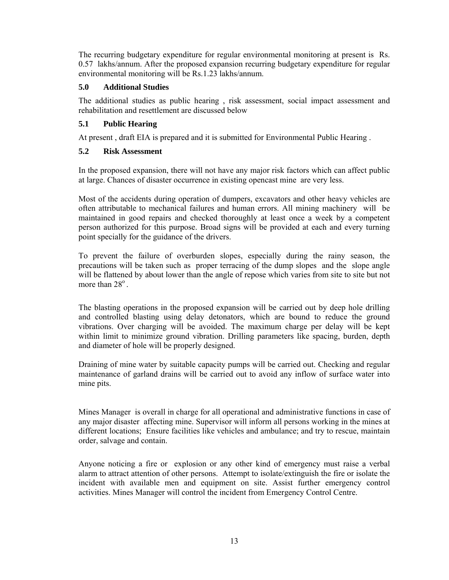The recurring budgetary expenditure for regular environmental monitoring at present is Rs. 0.57 lakhs/annum. After the proposed expansion recurring budgetary expenditure for regular environmental monitoring will be Rs.1.23 lakhs/annum.

#### **5.0 Additional Studies**

The additional studies as public hearing , risk assessment, social impact assessment and rehabilitation and resettlement are discussed below

#### **5.1 Public Hearing**

At present , draft EIA is prepared and it is submitted for Environmental Public Hearing .

#### **5.2 Risk Assessment**

In the proposed expansion, there will not have any major risk factors which can affect public at large. Chances of disaster occurrence in existing opencast mine are very less.

Most of the accidents during operation of dumpers, excavators and other heavy vehicles are often attributable to mechanical failures and human errors. All mining machinery will be maintained in good repairs and checked thoroughly at least once a week by a competent person authorized for this purpose. Broad signs will be provided at each and every turning point specially for the guidance of the drivers.

To prevent the failure of overburden slopes, especially during the rainy season, the precautions will be taken such as proper terracing of the dump slopes and the slope angle will be flattened by about lower than the angle of repose which varies from site to site but not more than  $28^\circ$ .

The blasting operations in the proposed expansion will be carried out by deep hole drilling and controlled blasting using delay detonators, which are bound to reduce the ground vibrations. Over charging will be avoided. The maximum charge per delay will be kept within limit to minimize ground vibration. Drilling parameters like spacing, burden, depth and diameter of hole will be properly designed.

Draining of mine water by suitable capacity pumps will be carried out. Checking and regular maintenance of garland drains will be carried out to avoid any inflow of surface water into mine pits.

Mines Manager is overall in charge for all operational and administrative functions in case of any major disaster affecting mine. Supervisor will inform all persons working in the mines at different locations; Ensure facilities like vehicles and ambulance; and try to rescue, maintain order, salvage and contain.

Anyone noticing a fire or explosion or any other kind of emergency must raise a verbal alarm to attract attention of other persons. Attempt to isolate/extinguish the fire or isolate the incident with available men and equipment on site. Assist further emergency control activities. Mines Manager will control the incident from Emergency Control Centre.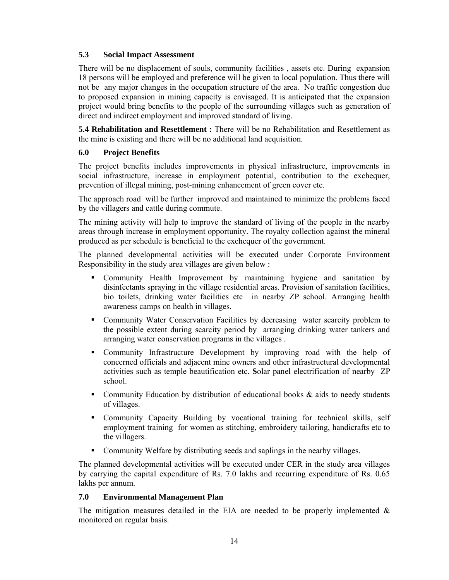#### **5.3 Social Impact Assessment**

There will be no displacement of souls, community facilities , assets etc. During expansion 18 persons will be employed and preference will be given to local population. Thus there will not be any major changes in the occupation structure of the area. No traffic congestion due to proposed expansion in mining capacity is envisaged. It is anticipated that the expansion project would bring benefits to the people of the surrounding villages such as generation of direct and indirect employment and improved standard of living.

**5.4 Rehabilitation and Resettlement :** There will be no Rehabilitation and Resettlement as the mine is existing and there will be no additional land acquisition.

#### **6.0 Project Benefits**

The project benefits includes improvements in physical infrastructure, improvements in social infrastructure, increase in employment potential, contribution to the exchequer, prevention of illegal mining, post-mining enhancement of green cover etc.

The approach road will be further improved and maintained to minimize the problems faced by the villagers and cattle during commute.

The mining activity will help to improve the standard of living of the people in the nearby areas through increase in employment opportunity. The royalty collection against the mineral produced as per schedule is beneficial to the exchequer of the government.

The planned developmental activities will be executed under Corporate Environment Responsibility in the study area villages are given below :

- Community Health Improvement by maintaining hygiene and sanitation by disinfectants spraying in the village residential areas. Provision of sanitation facilities, bio toilets, drinking water facilities etc in nearby ZP school. Arranging health awareness camps on health in villages.
- Community Water Conservation Facilities by decreasing water scarcity problem to the possible extent during scarcity period by arranging drinking water tankers and arranging water conservation programs in the villages .
- Community Infrastructure Development by improving road with the help of concerned officials and adjacent mine owners and other infrastructural developmental activities such as temple beautification etc. **S**olar panel electrification of nearby ZP school.
- **Community Education by distribution of educational books**  $\&$  **aids to needy students** of villages.
- Community Capacity Building by vocational training for technical skills, self employment training for women as stitching, embroidery tailoring, handicrafts etc to the villagers.
- Community Welfare by distributing seeds and saplings in the nearby villages.

The planned developmental activities will be executed under CER in the study area villages by carrying the capital expenditure of Rs. 7.0 lakhs and recurring expenditure of Rs. 0.65 lakhs per annum.

#### **7.0 Environmental Management Plan**

The mitigation measures detailed in the EIA are needed to be properly implemented  $\&$ monitored on regular basis.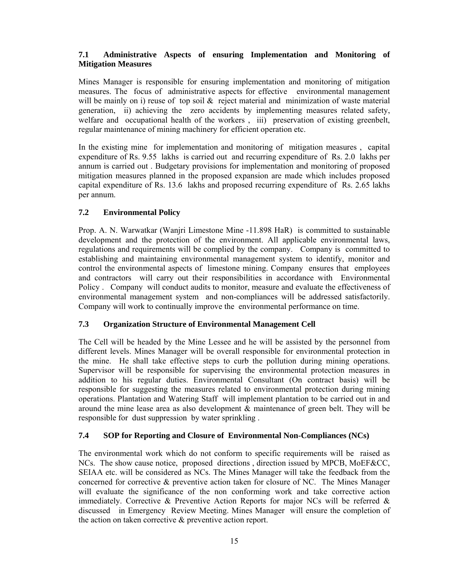#### **7.1 Administrative Aspects of ensuring Implementation and Monitoring of Mitigation Measures**

Mines Manager is responsible for ensuring implementation and monitoring of mitigation measures. The focus of administrative aspects for effective environmental management will be mainly on i) reuse of top soil  $\&$  reject material and minimization of waste material generation, ii) achieving the zero accidents by implementing measures related safety, welfare and occupational health of the workers, iii) preservation of existing greenbelt, regular maintenance of mining machinery for efficient operation etc.

In the existing mine for implementation and monitoring of mitigation measures , capital expenditure of Rs. 9.55 lakhs is carried out and recurring expenditure of Rs. 2.0 lakhs per annum is carried out . Budgetary provisions for implementation and monitoring of proposed mitigation measures planned in the proposed expansion are made which includes proposed capital expenditure of Rs. 13.6 lakhs and proposed recurring expenditure of Rs. 2.65 lakhs per annum.

#### **7.2 Environmental Policy**

Prop. A. N. Warwatkar (Wanjri Limestone Mine -11.898 HaR) is committed to sustainable development and the protection of the environment. All applicable environmental laws, regulations and requirements will be complied by the company. Company is committed to establishing and maintaining environmental management system to identify, monitor and control the environmental aspects of limestone mining. Company ensures that employees and contractors will carry out their responsibilities in accordance with Environmental Policy . Company will conduct audits to monitor, measure and evaluate the effectiveness of environmental management system and non-compliances will be addressed satisfactorily. Company will work to continually improve the environmental performance on time.

#### **7.3 Organization Structure of Environmental Management Cell**

The Cell will be headed by the Mine Lessee and he will be assisted by the personnel from different levels. Mines Manager will be overall responsible for environmental protection in the mine. He shall take effective steps to curb the pollution during mining operations. Supervisor will be responsible for supervising the environmental protection measures in addition to his regular duties. Environmental Consultant (On contract basis) will be responsible for suggesting the measures related to environmental protection during mining operations. Plantation and Watering Staff will implement plantation to be carried out in and around the mine lease area as also development & maintenance of green belt. They will be responsible for dust suppression by water sprinkling .

#### **7.4 SOP for Reporting and Closure of Environmental Non-Compliances (NCs)**

The environmental work which do not conform to specific requirements will be raised as NCs. The show cause notice, proposed directions , direction issued by MPCB, MoEF&CC, SEIAA etc. will be considered as NCs. The Mines Manager will take the feedback from the concerned for corrective & preventive action taken for closure of NC. The Mines Manager will evaluate the significance of the non conforming work and take corrective action immediately. Corrective & Preventive Action Reports for major NCs will be referred  $\&$ discussed in Emergency Review Meeting. Mines Manager will ensure the completion of the action on taken corrective & preventive action report.